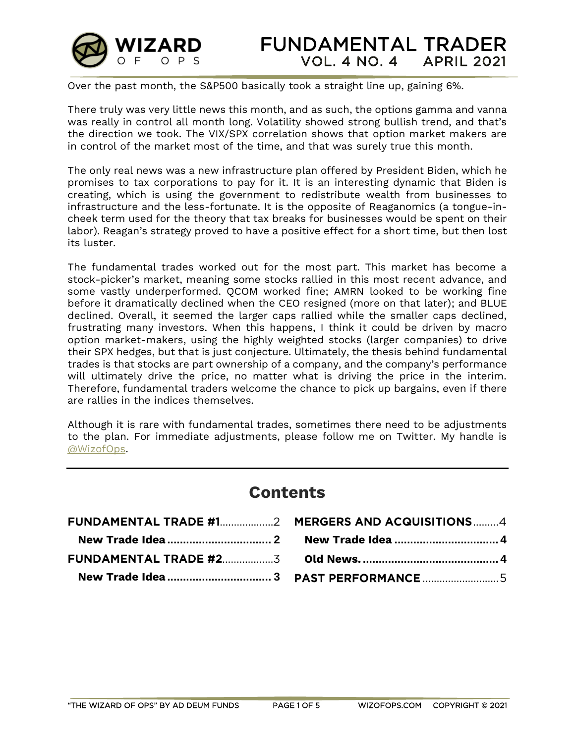

Over the past month, the S&P500 basically took a straight line up, gaining 6%.

There truly was very little news this month, and as such, the options gamma and vanna was really in control all month long. Volatility showed strong bullish trend, and that's the direction we took. The VIX/SPX correlation shows that option market makers are in control of the market most of the time, and that was surely true this month.

The only real news was a new infrastructure plan offered by President Biden, which he promises to tax corporations to pay for it. It is an interesting dynamic that Biden is creating, which is using the government to redistribute wealth from businesses to infrastructure and the less-fortunate. It is the opposite of Reaganomics (a tongue-incheek term used for the theory that tax breaks for businesses would be spent on their labor). Reagan's strategy proved to have a positive effect for a short time, but then lost its luster.

The fundamental trades worked out for the most part. This market has become a stock-picker's market, meaning some stocks rallied in this most recent advance, and some vastly underperformed. QCOM worked fine; AMRN looked to be working fine before it dramatically declined when the CEO resigned (more on that later); and BLUE declined. Overall, it seemed the larger caps rallied while the smaller caps declined, frustrating many investors. When this happens, I think it could be driven by macro option market-makers, using the highly weighted stocks (larger companies) to drive their SPX hedges, but that is just conjecture. Ultimately, the thesis behind fundamental trades is that stocks are part ownership of a company, and the company's performance will ultimately drive the price, no matter what is driving the price in the interim. Therefore, fundamental traders welcome the chance to pick up bargains, even if there are rallies in the indices themselves.

Although it is rare with fundamental trades, sometimes there need to be adjustments to the plan. For immediate adjustments, please follow me on Twitter. My handle is [@WizofOps.](https://twitter.com/wizofops)

# **Contents**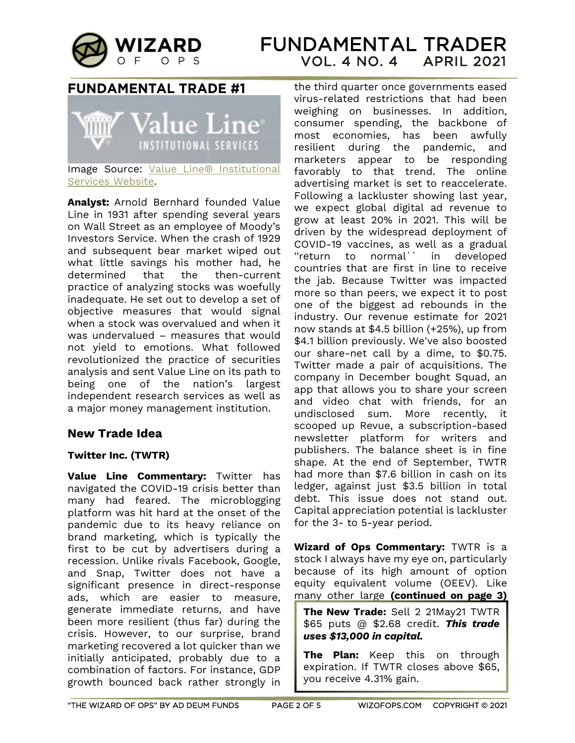

## **FUNDAMENTAL TRADE #1**



Image Source: Value Line® Institutional [Services Website.](https://www.valuelinepro.com/)

**Analyst:** Arnold Bernhard founded Value Line in 1931 after spending several years on Wall Street as an employee of Moody's Investors Service. When the crash of 1929 and subsequent bear market wiped out what little savings his mother had, he determined that the then-current practice of analyzing stocks was woefully inadequate. He set out to develop a set of objective measures that would signal when a stock was overvalued and when it was undervalued – measures that would not yield to emotions. What followed revolutionized the practice of securities analysis and sent Value Line on its path to being one of the nation's largest independent research services as well as a major money management institution.

### <span id="page-1-0"></span>**New Trade Idea**

#### **Twitter Inc. (TWTR)**

**Value Line Commentary:** Twitter has navigated the COVID-19 crisis better than many had feared. The microblogging platform was hit hard at the onset of the pandemic due to its heavy reliance on brand marketing, which is typically the first to be cut by advertisers during a recession. Unlike rivals Facebook, Google, and Snap, Twitter does not have a significant presence in direct-response ads, which are easier to measure, generate immediate returns, and have been more resilient (thus far) during the crisis. However, to our surprise, brand marketing recovered a lot quicker than we initially anticipated, probably due to a combination of factors. For instance, GDP growth bounced back rather strongly in the third quarter once governments eased virus-related restrictions that had been weighing on businesses. In addition, consumer spending, the backbone of most economies, has been awfully resilient during the pandemic, and marketers appear to be responding favorably to that trend. The online advertising market is set to reaccelerate. Following a lackluster showing last year, we expect global digital ad revenue to grow at least 20% in 2021. This will be driven by the widespread deployment of COVID-19 vaccines, as well as a gradual ''return to normal`` in developed countries that are first in line to receive the jab. Because Twitter was impacted more so than peers, we expect it to post one of the biggest ad rebounds in the industry. Our revenue estimate for 2021 now stands at \$4.5 billion (+25%), up from \$4.1 billion previously. We've also boosted our share-net call by a dime, to \$0.75. Twitter made a pair of acquisitions. The company in December bought Squad, an app that allows you to share your screen and video chat with friends, for an undisclosed sum. More recently, it scooped up Revue, a subscription-based newsletter platform for writers and publishers. The balance sheet is in fine shape. At the end of September, TWTR had more than \$7.6 billion in cash on its ledger, against just \$3.5 billion in total debt. This issue does not stand out. Capital appreciation potential is lackluster for the 3- to 5-year period.

**Wizard of Ops Commentary:** TWTR is a stock I always have my eye on, particularly because of its high amount of option equity equivalent volume (OEEV). Like many other large **(continued on page 3)**

**The New Trade:** Sell 2 21May21 TWTR \$65 puts @ \$2.68 credit. *This trade uses \$13,000 in capital.*

**The Plan:** Keep this on through expiration. If TWTR closes above \$65, you receive 4.31% gain.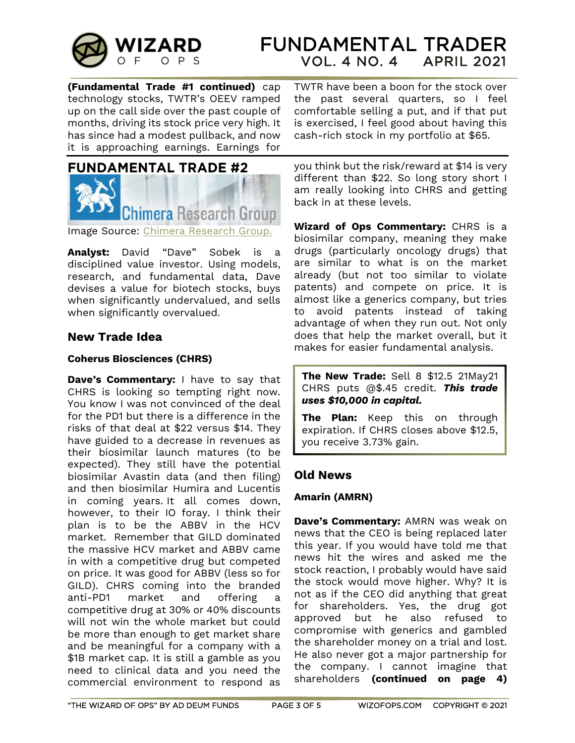

**(Fundamental Trade #1 continued)** cap technology stocks, TWTR's OEEV ramped up on the call side over the past couple of months, driving its stock price very high. It has since had a modest pullback, and now it is approaching earnings. Earnings for



Image Source: [Chimera Research Group.](https://www.chimeraresearchgroup.com/)

**Analyst:** David "Dave" Sobek is a disciplined value investor. Using models, research, and fundamental data, Dave devises a value for biotech stocks, buys when significantly undervalued, and sells when significantly overvalued.

### <span id="page-2-0"></span>**New Trade Idea**

#### **Coherus Biosciences (CHRS)**

**Dave's Commentary:** I have to say that CHRS is looking so tempting right now. You know I was not convinced of the deal for the PD1 but there is a difference in the risks of that deal at \$22 versus \$14. They have guided to a decrease in revenues as their biosimilar launch matures (to be expected). They still have the potential biosimilar Avastin data (and then filing) and then biosimilar Humira and Lucentis in coming years. It all comes down, however, to their IO foray. I think their plan is to be the ABBV in the HCV market. Remember that GILD dominated the massive HCV market and ABBV came in with a competitive drug but competed on price. It was good for ABBV (less so for GILD). CHRS coming into the branded anti-PD1 market and offering a competitive drug at 30% or 40% discounts will not win the whole market but could be more than enough to get market share and be meaningful for a company with a \$1B market cap. It is still a gamble as you need to clinical data and you need the commercial environment to respond as

TWTR have been a boon for the stock over the past several quarters, so I feel comfortable selling a put, and if that put is exercised, I feel good about having this cash-rich stock in my portfolio at \$65.

you think but the risk/reward at \$14 is very different than \$22. So long story short I am really looking into CHRS and getting back in at these levels.

**Wizard of Ops Commentary:** CHRS is a biosimilar company, meaning they make drugs (particularly oncology drugs) that are similar to what is on the market already (but not too similar to violate patents) and compete on price. It is almost like a generics company, but tries to avoid patents instead of taking advantage of when they run out. Not only does that help the market overall, but it makes for easier fundamental analysis.

**The New Trade:** Sell 8 \$12.5 21May21 CHRS puts @\$.45 credit. *This trade uses \$10,000 in capital.*

**The Plan:** Keep this on through expiration. If CHRS closes above \$12.5, you receive 3.73% gain.

### **Old News**

#### **Amarin (AMRN)**

**Dave's Commentary:** AMRN was weak on news that the CEO is being replaced later this year. If you would have told me that news hit the wires and asked me the stock reaction, I probably would have said the stock would move higher. Why? It is not as if the CEO did anything that great for shareholders. Yes, the drug got approved but he also refused to compromise with generics and gambled the shareholder money on a trial and lost. He also never got a major partnership for the company. I cannot imagine that shareholders **(continued on page 4)**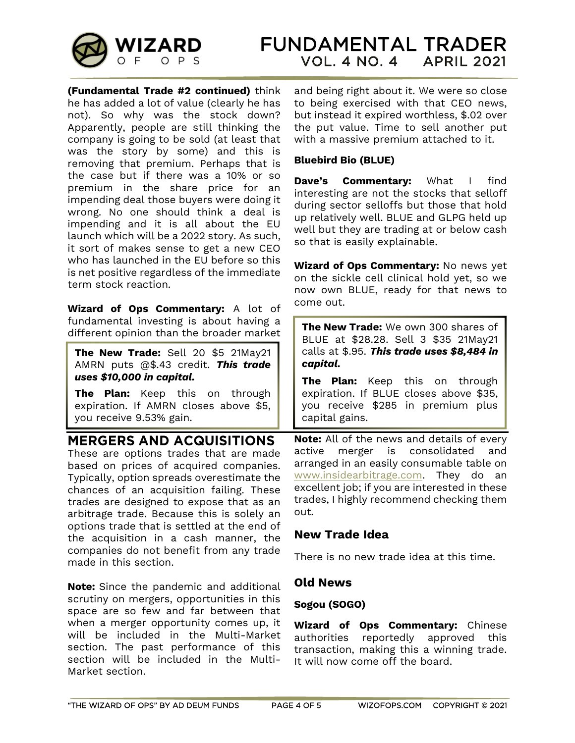

**(Fundamental Trade #2 continued)** think he has added a lot of value (clearly he has not). So why was the stock down? Apparently, people are still thinking the company is going to be sold (at least that was the story by some) and this is removing that premium. Perhaps that is the case but if there was a 10% or so premium in the share price for an impending deal those buyers were doing it wrong. No one should think a deal is impending and it is all about the EU launch which will be a 2022 story. As such, it sort of makes sense to get a new CEO who has launched in the EU before so this is net positive regardless of the immediate term stock reaction.

**Wizard of Ops Commentary:** A lot of fundamental investing is about having a different opinion than the broader market

**The New Trade:** Sell 20 \$5 21May21 AMRN puts @\$.43 credit. *This trade uses \$10,000 in capital.*

**The Plan:** Keep this on through expiration. If AMRN closes above \$5, you receive 9.53% gain.

## **MERGERS AND ACQUISITIONS**

These are options trades that are made based on prices of acquired companies. Typically, option spreads overestimate the chances of an acquisition failing. These trades are designed to expose that as an arbitrage trade. Because this is solely an options trade that is settled at the end of the acquisition in a cash manner, the companies do not benefit from any trade made in this section.

**Note:** Since the pandemic and additional scrutiny on mergers, opportunities in this space are so few and far between that when a merger opportunity comes up, it will be included in the Multi-Market section. The past performance of this section will be included in the Multi-Market section.

and being right about it. We were so close to being exercised with that CEO news, but instead it expired worthless, \$.02 over the put value. Time to sell another put with a massive premium attached to it.

### **Bluebird Bio (BLUE)**

**Dave's Commentary:** What I find interesting are not the stocks that selloff during sector selloffs but those that hold up relatively well. BLUE and GLPG held up well but they are trading at or below cash so that is easily explainable.

**Wizard of Ops Commentary:** No news yet on the sickle cell clinical hold yet, so we now own BLUE, ready for that news to come out.

**The New Trade:** We own 300 shares of BLUE at \$28.28. Sell 3 \$35 21May21 calls at \$.95. *This trade uses \$8,484 in capital.*

**The Plan:** Keep this on through expiration. If BLUE closes above \$35, you receive \$285 in premium plus capital gains.

**Note:** All of the news and details of every active merger is consolidated and arranged in an easily consumable table on [www.insidearbitrage.com.](http://www.insidearbitrage.com/) They do an excellent job; if you are interested in these trades, I highly recommend checking them out.

### <span id="page-3-0"></span>**New Trade Idea**

There is no new trade idea at this time.

### <span id="page-3-1"></span>**Old News**

### **Sogou (SOGO)**

**Wizard of Ops Commentary:** Chinese authorities reportedly approved this transaction, making this a winning trade. It will now come off the board.